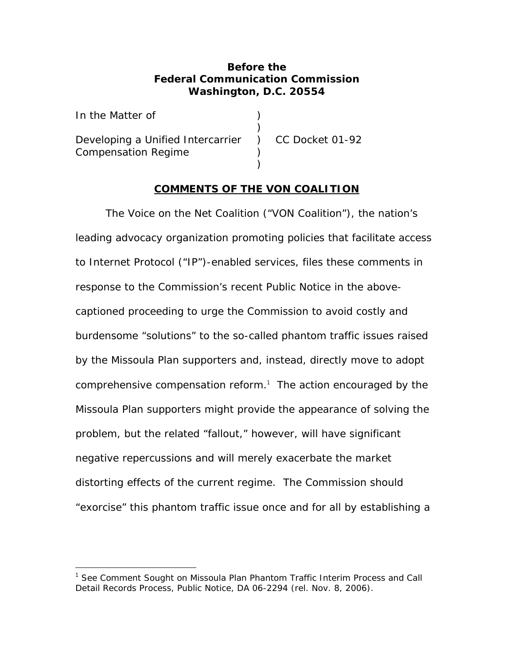#### **Before the Federal Communication Commission Washington, D.C. 20554**

| In the Matter of                                    |  |
|-----------------------------------------------------|--|
|                                                     |  |
| Developing a Unified Intercarrier ) CC Docket 01-92 |  |
| <b>Compensation Regime</b>                          |  |
|                                                     |  |

#### **COMMENTS OF THE VON COALITION**

The Voice on the Net Coalition ("VON Coalition"), the nation's leading advocacy organization promoting policies that facilitate access to Internet Protocol ("IP")-enabled services, files these comments in response to the Commission's recent Public Notice in the abovecaptioned proceeding to urge the Commission to avoid costly and burdensome "solutions" to the so-called phantom traffic issues raised by the Missoula Plan supporters and, instead, directly move to adopt comprehensive compensation reform.<sup>1</sup> The action encouraged by the Missoula Plan supporters might provide the appearance of solving the problem, but the related "fallout," however, will have significant negative repercussions and will merely exacerbate the market distorting effects of the current regime. The Commission should "exorcise" this phantom traffic issue once and for all by establishing a

<sup>1</sup> *See Comment Sought on Missoula Plan Phantom Traffic Interim Process and Call Detail Records Process*, Public Notice, DA 06-2294 (rel. Nov. 8, 2006).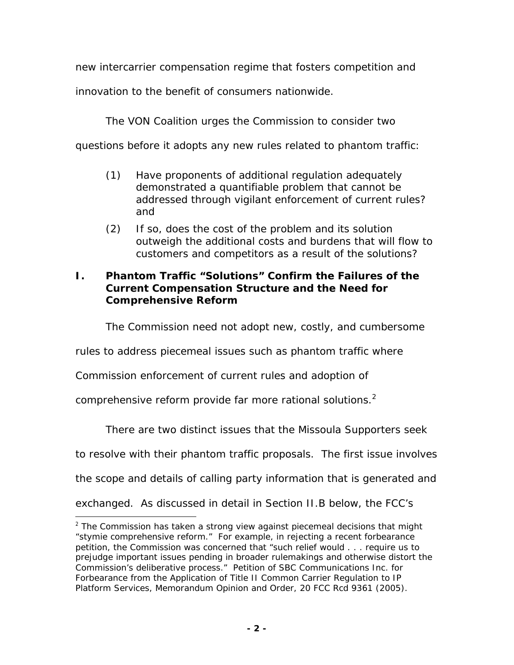new intercarrier compensation regime that fosters competition and

innovation to the benefit of consumers nationwide.

The VON Coalition urges the Commission to consider two

questions before it adopts any new rules related to phantom traffic:

- (1) Have proponents of additional regulation adequately demonstrated a quantifiable problem that cannot be addressed through vigilant enforcement of current rules? and
- (2) If so, does the cost of the problem and its solution outweigh the additional costs and burdens that will flow to customers and competitors as a result of the solutions?

## **I. Phantom Traffic "Solutions" Confirm the Failures of the Current Compensation Structure and the Need for Comprehensive Reform**

The Commission need not adopt new, costly, and cumbersome

rules to address piecemeal issues such as phantom traffic where

Commission enforcement of current rules and adoption of

comprehensive reform provide far more rational solutions.<sup>2</sup>

There are two distinct issues that the Missoula Supporters seek

to resolve with their phantom traffic proposals. The first issue involves

the scope and details of calling party information that is generated and

exchanged. As discussed in detail in Section II.B below, the FCC's

<sup>&</sup>lt;sup>2</sup> The Commission has taken a strong view against piecemeal decisions that might "stymie comprehensive reform." For example, in rejecting a recent forbearance petition, the Commission was concerned that "such relief would . . . require us to prejudge important issues pending in broader rulemakings and otherwise distort the Commission's deliberative process." *Petition of SBC Communications Inc. for Forbearance from the Application of Title II Common Carrier Regulation to IP Platform Services*, Memorandum Opinion and Order, 20 FCC Rcd 9361 (2005).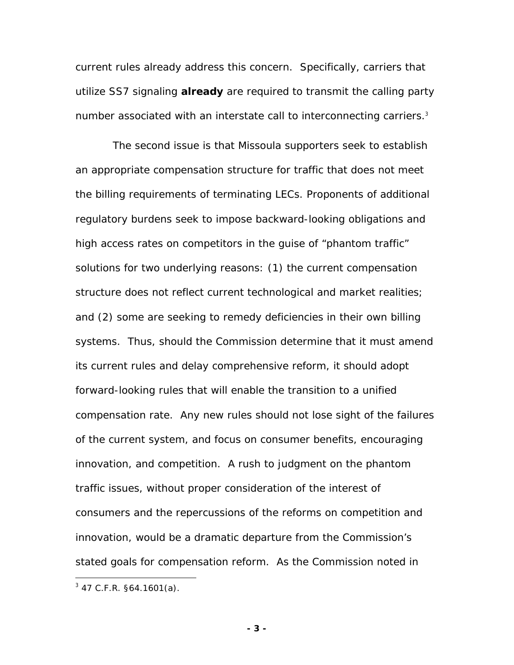current rules already address this concern. Specifically, carriers that utilize SS7 signaling *already* are required to transmit the calling party number associated with an interstate call to interconnecting carriers.<sup>3</sup>

 The second issue is that Missoula supporters seek to establish an appropriate compensation structure for traffic that does not meet the billing requirements of terminating LECs. Proponents of additional regulatory burdens seek to impose backward-looking obligations and high access rates on competitors in the guise of "phantom traffic" solutions for two underlying reasons: (1) the current compensation structure does not reflect current technological and market realities; and (2) some are seeking to remedy deficiencies in their own billing systems. Thus, should the Commission determine that it must amend its current rules and delay comprehensive reform, it should adopt forward-looking rules that will enable the transition to a unified compensation rate. Any new rules should not lose sight of the failures of the current system, and focus on consumer benefits, encouraging innovation, and competition. A rush to judgment on the phantom traffic issues, without proper consideration of the interest of consumers and the repercussions of the reforms on competition and innovation, would be a dramatic departure from the Commission's stated goals for compensation reform. As the Commission noted in

<u>.</u>

 $3$  47 C.F.R. §64.1601(a).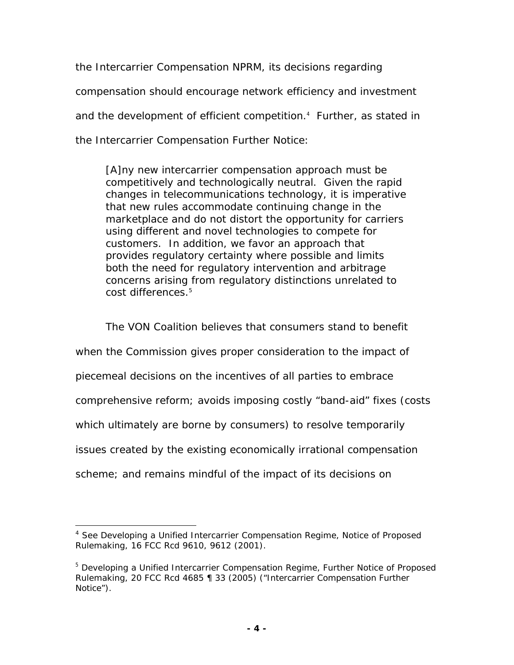the *Intercarrier Compensation NPRM*, its decisions regarding compensation should encourage network efficiency and investment and the development of efficient competition.<sup>4</sup> Further, as stated in the *Intercarrier Compensation Further Notice*:

[A]ny new intercarrier compensation approach must be competitively and technologically neutral. Given the rapid changes in telecommunications technology, it is imperative that new rules accommodate continuing change in the marketplace and do not distort the opportunity for carriers using different and novel technologies to compete for customers. In addition, we favor an approach that provides regulatory certainty where possible and limits both the need for regulatory intervention and arbitrage concerns arising from regulatory distinctions unrelated to cost differences.<sup>5</sup>

The VON Coalition believes that consumers stand to benefit

when the Commission gives proper consideration to the impact of

piecemeal decisions on the incentives of all parties to embrace

comprehensive reform; avoids imposing costly "band-aid" fixes (costs

which ultimately are borne by consumers) to resolve temporarily

issues created by the existing economically irrational compensation

scheme; and remains mindful of the impact of its decisions on

 $\overline{a}$ <sup>4</sup> *See Developing a Unified Intercarrier Compensation Regime*, Notice of Proposed Rulemaking, 16 FCC Rcd 9610, 9612 (2001).

<sup>&</sup>lt;sup>5</sup> Developing a Unified Intercarrier Compensation Regime, Further Notice of Proposed Rulemaking, 20 FCC Rcd 4685 ¶ 33 (2005) ("*Intercarrier Compensation Further Notice*").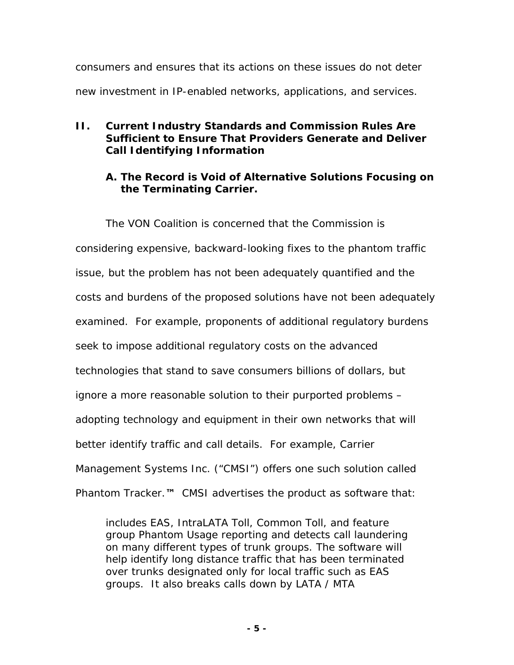consumers and ensures that its actions on these issues do not deter new investment in IP-enabled networks, applications, and services.

# **II. Current Industry Standards and Commission Rules Are Sufficient to Ensure That Providers Generate and Deliver Call Identifying Information**

# **A. The Record is Void of Alternative Solutions Focusing on the Terminating Carrier.**

The VON Coalition is concerned that the Commission is considering expensive, backward-looking fixes to the phantom traffic issue, but the problem has not been adequately quantified and the costs and burdens of the proposed solutions have not been adequately examined. For example, proponents of additional regulatory burdens seek to impose additional regulatory costs on the advanced technologies that stand to save consumers billions of dollars, but ignore a more reasonable solution to their purported problems – adopting technology and equipment in their own networks that will better identify traffic and call details. For example, Carrier Management Systems Inc. ("CMSI") offers one such solution called *Phantom Tracker.™* CMSI advertises the product as software that:

includes EAS, IntraLATA Toll, Common Toll, and feature group Phantom Usage reporting and detects call laundering on many different types of trunk groups. The software will help identify long distance traffic that has been terminated over trunks designated only for local traffic such as EAS groups. It also breaks calls down by LATA / MTA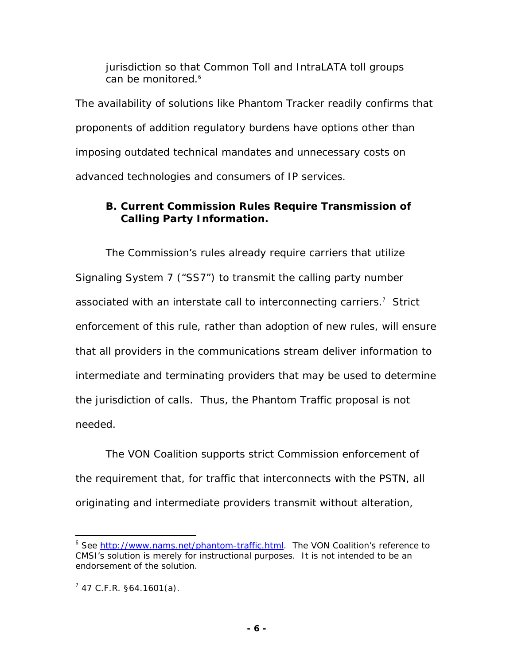jurisdiction so that Common Toll and IntraLATA toll groups can be monitored.<sup>6</sup>

The availability of solutions like *Phantom Tracker* readily confirms that proponents of addition regulatory burdens have options other than imposing outdated technical mandates and unnecessary costs on advanced technologies and consumers of IP services.

# **B. Current Commission Rules Require Transmission of Calling Party Information.**

The Commission's rules already require carriers that utilize Signaling System 7 ("SS7") to transmit the calling party number associated with an interstate call to interconnecting carriers.<sup>7</sup> Strict enforcement of this rule, rather than adoption of new rules, will ensure that all providers in the communications stream deliver information to intermediate and terminating providers that may be used to determine the jurisdiction of calls. Thus, the Phantom Traffic proposal is not needed.

The VON Coalition supports strict Commission enforcement of the requirement that, for traffic that interconnects with the PSTN, all originating and intermediate providers transmit without alteration,

 $\overline{a}$ <sup>6</sup> *See* http://www.nams.net/phantom-traffic.html. The VON Coalition's reference to CMSI's solution is merely for instructional purposes. It is not intended to be an endorsement of the solution.

 $7$  47 C.F.R. §64.1601(a).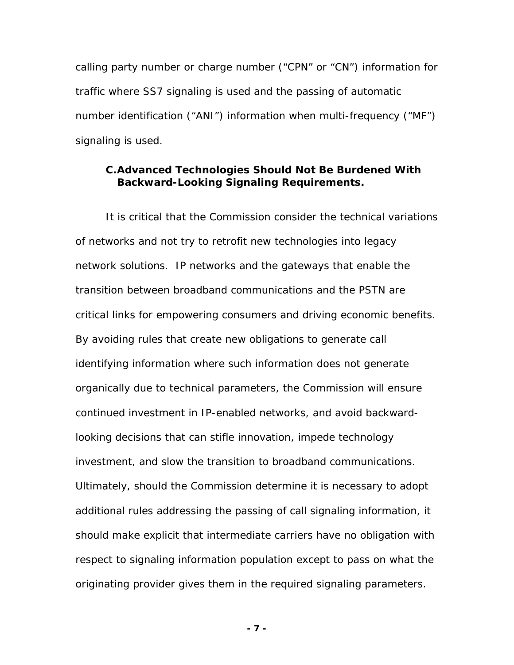calling party number or charge number ("CPN" or "CN") information for traffic where SS7 signaling is used and the passing of automatic number identification ("ANI") information when multi-frequency ("MF") signaling is used.

#### **C. Advanced Technologies Should Not Be Burdened With Backward-Looking Signaling Requirements.**

It is critical that the Commission consider the technical variations of networks and not try to retrofit new technologies into legacy network solutions. IP networks and the gateways that enable the transition between broadband communications and the PSTN are critical links for empowering consumers and driving economic benefits. By avoiding rules that create new obligations to generate call identifying information where such information does not generate organically due to technical parameters, the Commission will ensure continued investment in IP-enabled networks, and avoid backwardlooking decisions that can stifle innovation, impede technology investment, and slow the transition to broadband communications. Ultimately, should the Commission determine it is necessary to adopt additional rules addressing the passing of call signaling information, it should make explicit that intermediate carriers have no obligation with respect to signaling information population except to pass on what the originating provider gives them in the required signaling parameters.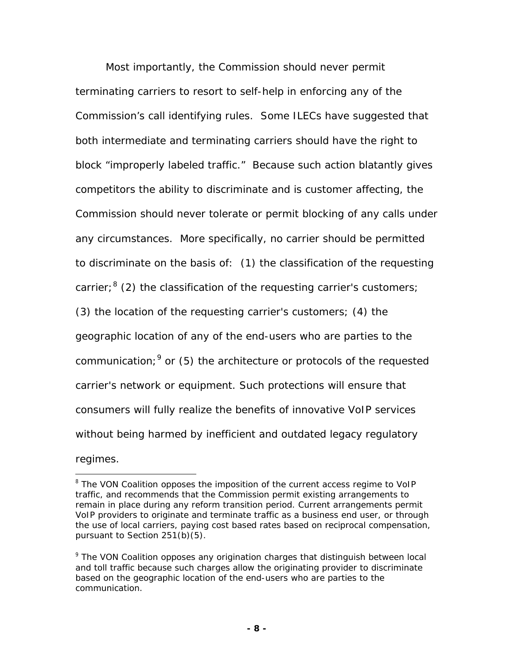Most importantly, the Commission should never permit terminating carriers to resort to self-help in enforcing any of the Commission's call identifying rules. Some ILECs have suggested that both intermediate and terminating carriers should have the right to block "improperly labeled traffic." Because such action blatantly gives competitors the ability to discriminate and is customer affecting, the Commission should never tolerate or permit blocking of any calls under any circumstances. More specifically, no carrier should be permitted to discriminate on the basis of: (1) the classification of the requesting carrier;<sup>8</sup> (2) the classification of the requesting carrier's customers; (3) the location of the requesting carrier's customers; (4) the geographic location of any of the end-users who are parties to the communication;  $9$  or (5) the architecture or protocols of the requested carrier's network or equipment. Such protections will ensure that consumers will fully realize the benefits of innovative VoIP services without being harmed by inefficient and outdated legacy regulatory regimes.

<sup>&</sup>lt;sup>8</sup> The VON Coalition opposes the imposition of the current access regime to VoIP traffic, and recommends that the Commission permit existing arrangements to remain in place during any reform transition period. Current arrangements permit VoIP providers to originate and terminate traffic as a business end user, or through the use of local carriers, paying cost based rates based on reciprocal compensation, pursuant to Section 251(b)(5).

<sup>&</sup>lt;sup>9</sup> The VON Coalition opposes any origination charges that distinguish between local and toll traffic because such charges allow the originating provider to discriminate based on the geographic location of the end-users who are parties to the communication.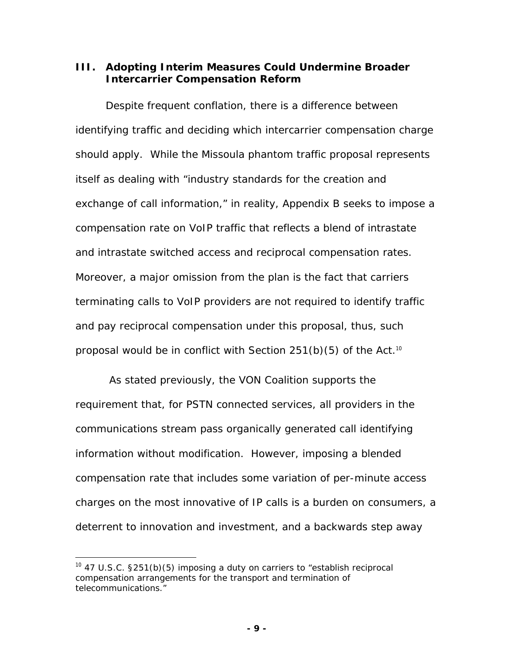**III. Adopting Interim Measures Could Undermine Broader Intercarrier Compensation Reform** 

Despite frequent conflation, there is a difference between identifying traffic and deciding which intercarrier compensation charge should apply. While the Missoula phantom traffic proposal represents itself as dealing with "industry standards for the creation and exchange of call information," in reality, Appendix B seeks to impose a compensation rate on VoIP traffic that reflects a blend of intrastate and intrastate switched access and reciprocal compensation rates. Moreover, a major omission from the plan is the fact that carriers terminating calls to VoIP providers are not required to identify traffic and pay reciprocal compensation under this proposal, thus, such proposal would be in conflict with Section  $251(b)(5)$  of the Act.<sup>10</sup>

 As stated previously, the VON Coalition supports the requirement that, for PSTN connected services, all providers in the communications stream pass organically generated call identifying information without modification. However, imposing a blended compensation rate that includes some variation of per-minute access charges on the most innovative of IP calls is a burden on consumers, a deterrent to innovation and investment, and a backwards step away

 $10$  47 U.S.C. §251(b)(5) imposing a duty on carriers to "establish reciprocal compensation arrangements for the transport and termination of telecommunications."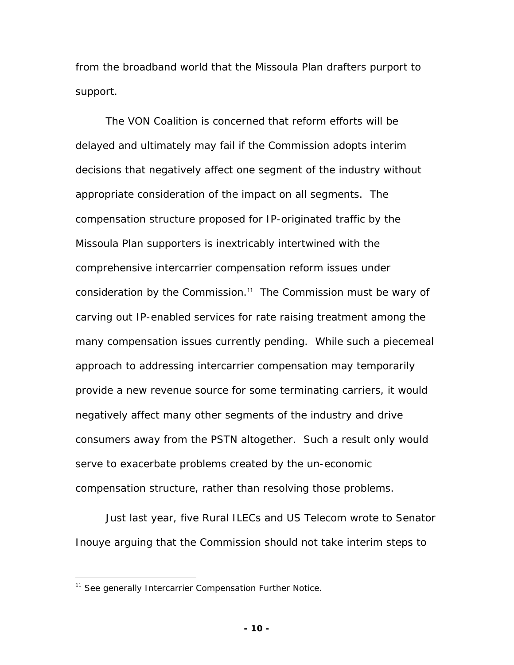from the broadband world that the Missoula Plan drafters purport to support.

The VON Coalition is concerned that reform efforts will be delayed and ultimately may fail if the Commission adopts interim decisions that negatively affect one segment of the industry without appropriate consideration of the impact on all segments. The compensation structure proposed for IP-originated traffic by the Missoula Plan supporters is inextricably intertwined with the comprehensive intercarrier compensation reform issues under consideration by the Commission.<sup>11</sup> The Commission must be wary of carving out IP-enabled services for rate raising treatment among the many compensation issues currently pending. While such a piecemeal approach to addressing intercarrier compensation may temporarily provide a new revenue source for some terminating carriers, it would negatively affect many other segments of the industry and drive consumers away from the PSTN altogether. Such a result only would serve to exacerbate problems created by the un-economic compensation structure, rather than resolving those problems.

Just last year, five Rural ILECs and US Telecom wrote to Senator Inouye arguing that the Commission should not take interim steps to

<u>.</u>

<sup>11</sup> *See generally Intercarrier Compensation Further Notice*.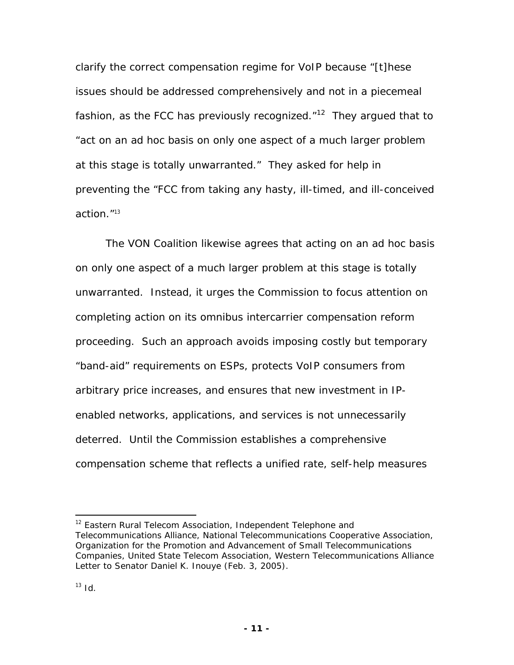clarify the correct compensation regime for VoIP because "[t]hese issues should be addressed comprehensively and not in a piecemeal fashion, as the FCC has previously recognized. $12$  They argued that to "act on an ad hoc basis on only one aspect of a much larger problem at this stage is totally unwarranted." They asked for help in preventing the "FCC from taking any hasty, ill-timed, and ill-conceived action."<sup>13</sup>

The VON Coalition likewise agrees that acting on an *ad hoc* basis on only one aspect of a much larger problem at this stage is totally unwarranted. Instead, it urges the Commission to focus attention on completing action on its omnibus intercarrier compensation reform proceeding. Such an approach avoids imposing costly but temporary "band-aid" requirements on ESPs, protects VoIP consumers from arbitrary price increases, and ensures that new investment in IPenabled networks, applications, and services is not unnecessarily deterred. Until the Commission establishes a comprehensive compensation scheme that reflects a unified rate, self-help measures

<sup>&</sup>lt;sup>12</sup> Eastern Rural Telecom Association, Independent Telephone and Telecommunications Alliance, National Telecommunications Cooperative Association, Organization for the Promotion and Advancement of Small Telecommunications Companies, United State Telecom Association, Western Telecommunications Alliance Letter to Senator Daniel K. Inouye (Feb. 3, 2005).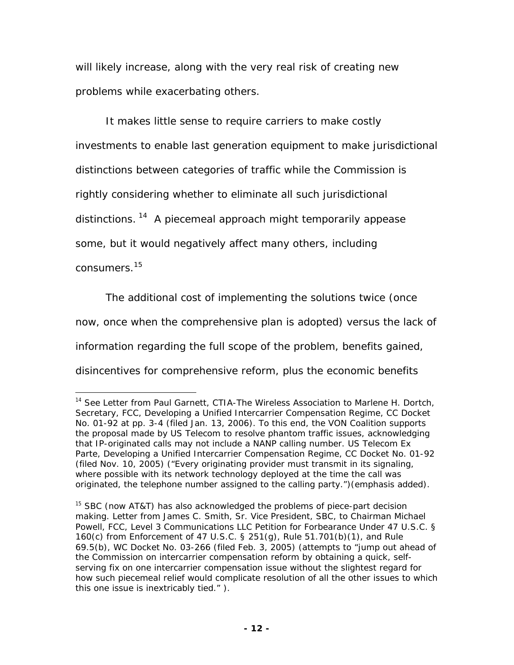will likely increase, along with the very real risk of creating new problems while exacerbating others.

It makes little sense to require carriers to make costly investments to enable last generation equipment to make jurisdictional distinctions between categories of traffic while the Commission is rightly considering whether to eliminate all such jurisdictional distinctions.<sup>14</sup> A piecemeal approach might temporarily appease some, but it would negatively affect many others, including

consumers.15

1

The additional cost of implementing the solutions twice (once now, once when the comprehensive plan is adopted) versus the lack of information regarding the full scope of the problem, benefits gained, disincentives for comprehensive reform, plus the economic benefits

<sup>14</sup> *See* Letter from Paul Garnett, CTIA-The Wireless Association to Marlene H. Dortch, Secretary, FCC, Developing a Unified Intercarrier Compensation Regime, CC Docket No. 01-92 at pp. 3-4 (filed Jan. 13, 2006). To this end, the VON Coalition supports the proposal made by US Telecom to resolve phantom traffic issues, acknowledging that IP-originated calls may not include a NANP calling number. US Telecom Ex Parte, Developing a Unified Intercarrier Compensation Regime, CC Docket No. 01-92 (filed Nov. 10, 2005) ("Every originating provider must transmit in its signaling, where possible with its network technology deployed at the time the call was originated, the telephone number assigned to the calling party.")(emphasis added).

 $15$  SBC (now AT&T) has also acknowledged the problems of piece-part decision making. Letter from James C. Smith, Sr. Vice President, SBC, to Chairman Michael Powell, FCC, *Level 3 Communications LLC Petition for Forbearance Under 47 U.S.C. § 160(c) from Enforcement of 47 U.S.C. § 251(g), Rule 51.701(b)(1), and Rule 69.5(b)*, WC Docket No. 03-266 (filed Feb. 3, 2005) (attempts to "jump out ahead of the Commission on intercarrier compensation reform by obtaining a quick, selfserving fix on *one* intercarrier compensation issue without the slightest regard for how such piecemeal relief would complicate resolution of all the *other* issues to which this one issue is inextricably tied." ).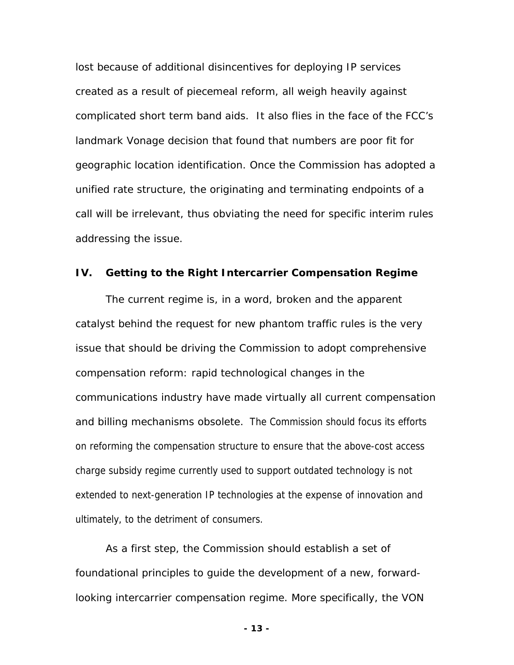lost because of additional disincentives for deploying IP services created as a result of piecemeal reform, all weigh heavily against complicated short term band aids. It also flies in the face of the FCC's landmark *Vonage* decision that found that numbers are poor fit for geographic location identification. Once the Commission has adopted a unified rate structure, the originating and terminating endpoints of a call will be irrelevant, thus obviating the need for specific interim rules addressing the issue.

#### **IV. Getting to the Right Intercarrier Compensation Regime**

The current regime is, in a word, broken and the apparent catalyst behind the request for new phantom traffic rules is the very issue that should be driving the Commission to adopt comprehensive compensation reform: rapid technological changes in the communications industry have made virtually all current compensation and billing mechanisms obsolete. The Commission should focus its efforts on reforming the compensation structure to ensure that the above-cost access charge subsidy regime currently used to support outdated technology is not extended to next-generation IP technologies at the expense of innovation and ultimately, to the detriment of consumers.

As a first step, the Commission should establish a set of foundational principles to guide the development of a new, forwardlooking intercarrier compensation regime. More specifically, the VON

**- 13 -**